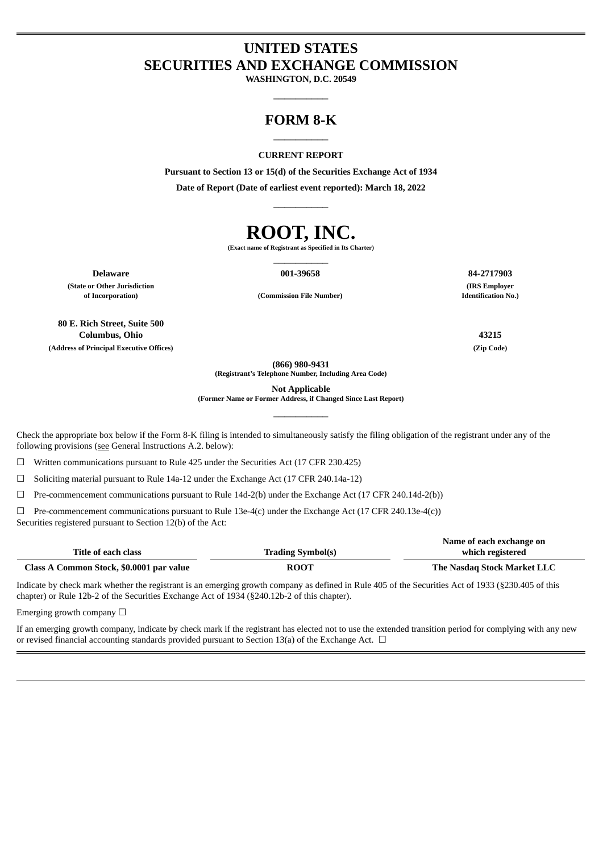# **UNITED STATES SECURITIES AND EXCHANGE COMMISSION**

**WASHINGTON, D.C. 20549**  $\overline{\phantom{a}}$   $\overline{\phantom{a}}$   $\overline{\phantom{a}}$   $\overline{\phantom{a}}$   $\overline{\phantom{a}}$   $\overline{\phantom{a}}$   $\overline{\phantom{a}}$   $\overline{\phantom{a}}$   $\overline{\phantom{a}}$   $\overline{\phantom{a}}$   $\overline{\phantom{a}}$   $\overline{\phantom{a}}$   $\overline{\phantom{a}}$   $\overline{\phantom{a}}$   $\overline{\phantom{a}}$   $\overline{\phantom{a}}$   $\overline{\phantom{a}}$   $\overline{\phantom{a}}$   $\overline{\$ 

# **FORM 8-K** \_\_\_\_\_\_\_\_\_\_

#### **CURRENT REPORT**

**Pursuant to Section 13 or 15(d) of the Securities Exchange Act of 1934**

**Date of Report (Date of earliest event reported): March 18, 2022** \_\_\_\_\_\_\_\_\_\_

# **ROOT, INC.**

**(Exact name of Registrant as Specified in Its Charter)** \_\_\_\_\_\_\_\_\_\_

**(State or Other Jurisdiction**

**Delaware 001-39658 84-2717903**

**of Incorporation) (Commission File Number)**

**80 E. Rich Street, Suite 500 Columbus, Ohio 43215 (Address of Principal Executive Offices) (Zip Code)**

**(IRS Employer Identification No.)**

**(866) 980-9431**

**(Registrant's Telephone Number, Including Area Code)**

**Not Applicable**

**(Former Name or Former Address, if Changed Since Last Report)** \_\_\_\_\_\_\_\_\_\_

Check the appropriate box below if the Form 8-K filing is intended to simultaneously satisfy the filing obligation of the registrant under any of the following provisions (see General Instructions A.2. below):

☐ Written communications pursuant to Rule 425 under the Securities Act (17 CFR 230.425)

☐ Soliciting material pursuant to Rule 14a-12 under the Exchange Act (17 CFR 240.14a-12)

 $\Box$  Pre-commencement communications pursuant to Rule 14d-2(b) under the Exchange Act (17 CFR 240.14d-2(b))

 $\Box$  Pre-commencement communications pursuant to Rule 13e-4(c) under the Exchange Act (17 CFR 240.13e-4(c)) Securities registered pursuant to Section 12(b) of the Act:

|                                          |                          | Name of each exchange on    |
|------------------------------------------|--------------------------|-----------------------------|
| Title of each class                      | <b>Trading Symbol(s)</b> | which registered            |
| Class A Common Stock, \$0.0001 par value | <b>ROOT</b>              | The Nasdag Stock Market LLC |

Indicate by check mark whether the registrant is an emerging growth company as defined in Rule 405 of the Securities Act of 1933 (§230.405 of this chapter) or Rule 12b-2 of the Securities Exchange Act of 1934 (§240.12b-2 of this chapter).

Emerging growth company  $\Box$ 

If an emerging growth company, indicate by check mark if the registrant has elected not to use the extended transition period for complying with any new or revised financial accounting standards provided pursuant to Section 13(a) of the Exchange Act.  $\Box$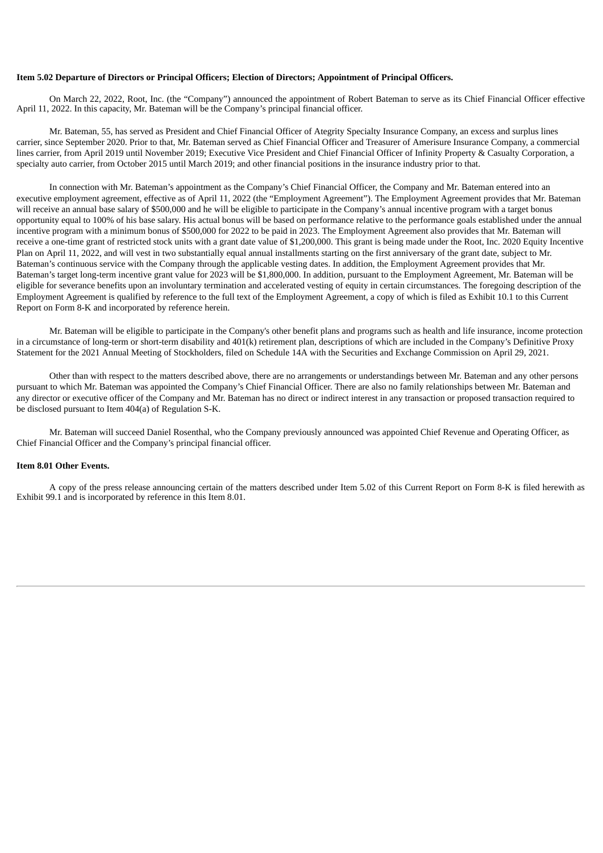#### **Item 5.02 Departure of Directors or Principal Officers; Election of Directors; Appointment of Principal Officers.**

On March 22, 2022, Root, Inc. (the "Company") announced the appointment of Robert Bateman to serve as its Chief Financial Officer effective April 11, 2022. In this capacity, Mr. Bateman will be the Company's principal financial officer.

Mr. Bateman, 55, has served as President and Chief Financial Officer of Ategrity Specialty Insurance Company, an excess and surplus lines carrier, since September 2020. Prior to that, Mr. Bateman served as Chief Financial Officer and Treasurer of Amerisure Insurance Company, a commercial lines carrier, from April 2019 until November 2019; Executive Vice President and Chief Financial Officer of Infinity Property & Casualty Corporation, a specialty auto carrier, from October 2015 until March 2019; and other financial positions in the insurance industry prior to that.

In connection with Mr. Bateman's appointment as the Company's Chief Financial Officer, the Company and Mr. Bateman entered into an executive employment agreement, effective as of April 11, 2022 (the "Employment Agreement"). The Employment Agreement provides that Mr. Bateman will receive an annual base salary of \$500,000 and he will be eligible to participate in the Company's annual incentive program with a target bonus opportunity equal to 100% of his base salary. His actual bonus will be based on performance relative to the performance goals established under the annual incentive program with a minimum bonus of \$500,000 for 2022 to be paid in 2023. The Employment Agreement also provides that Mr. Bateman will receive a one-time grant of restricted stock units with a grant date value of \$1,200,000. This grant is being made under the Root, Inc. 2020 Equity Incentive Plan on April 11, 2022, and will vest in two substantially equal annual installments starting on the first anniversary of the grant date, subject to Mr. Bateman's continuous service with the Company through the applicable vesting dates. In addition, the Employment Agreement provides that Mr. Bateman's target long-term incentive grant value for 2023 will be \$1,800,000. In addition, pursuant to the Employment Agreement, Mr. Bateman will be eligible for severance benefits upon an involuntary termination and accelerated vesting of equity in certain circumstances. The foregoing description of the Employment Agreement is qualified by reference to the full text of the Employment Agreement, a copy of which is filed as Exhibit 10.1 to this Current Report on Form 8-K and incorporated by reference herein.

Mr. Bateman will be eligible to participate in the Company's other benefit plans and programs such as health and life insurance, income protection in a circumstance of long-term or short-term disability and 401(k) retirement plan, descriptions of which are included in the Company's Definitive Proxy Statement for the 2021 Annual Meeting of Stockholders, filed on Schedule 14A with the Securities and Exchange Commission on April 29, 2021.

Other than with respect to the matters described above, there are no arrangements or understandings between Mr. Bateman and any other persons pursuant to which Mr. Bateman was appointed the Company's Chief Financial Officer. There are also no family relationships between Mr. Bateman and any director or executive officer of the Company and Mr. Bateman has no direct or indirect interest in any transaction or proposed transaction required to be disclosed pursuant to Item 404(a) of Regulation S-K.

Mr. Bateman will succeed Daniel Rosenthal, who the Company previously announced was appointed Chief Revenue and Operating Officer, as Chief Financial Officer and the Company's principal financial officer.

#### **Item 8.01 Other Events.**

A copy of the press release announcing certain of the matters described under Item 5.02 of this Current Report on Form 8-K is filed herewith as Exhibit 99.1 and is incorporated by reference in this Item 8.01.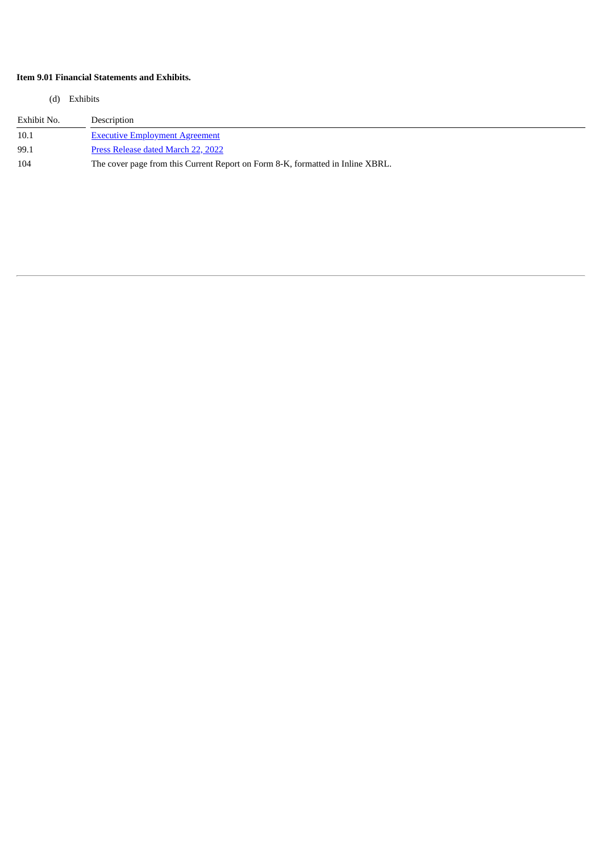# **Item 9.01 Financial Statements and Exhibits.**

(d) Exhibits

| Exhibit No. | Description                                                                    |
|-------------|--------------------------------------------------------------------------------|
| 10.1        | <b>Executive Employment Agreement</b>                                          |
| 99.1        | Press Release dated March 22, 2022                                             |
| 104         | The cover page from this Current Report on Form 8-K, formatted in Inline XBRL. |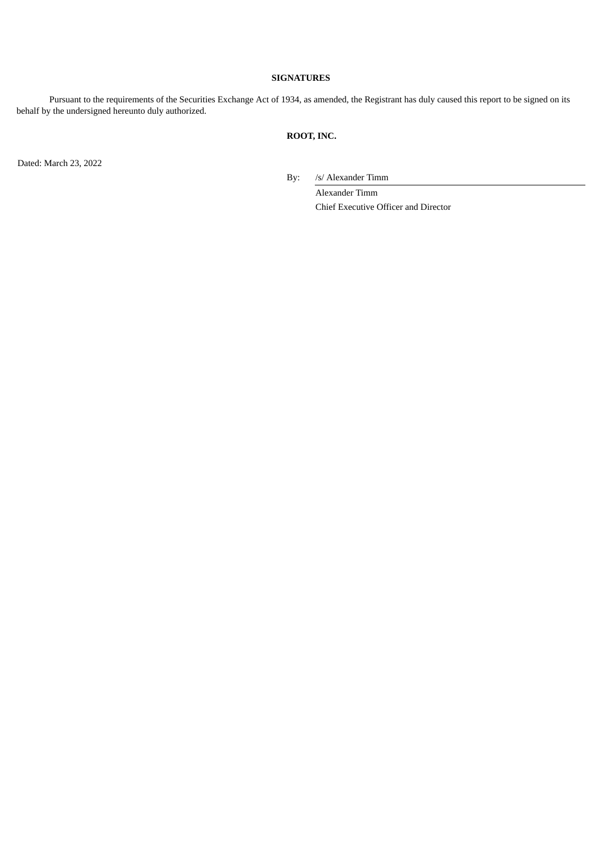#### **SIGNATURES**

Pursuant to the requirements of the Securities Exchange Act of 1934, as amended, the Registrant has duly caused this report to be signed on its behalf by the undersigned hereunto duly authorized.

# **ROOT, INC.**

Dated: March 23, 2022

By: /s/ Alexander Timm

Alexander Timm Chief Executive Officer and Director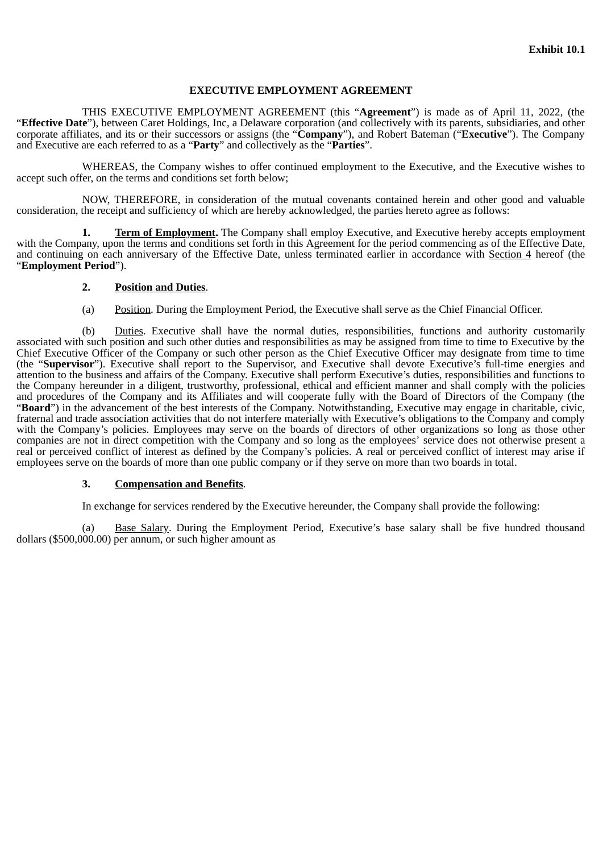## **EXECUTIVE EMPLOYMENT AGREEMENT**

<span id="page-4-0"></span>THIS EXECUTIVE EMPLOYMENT AGREEMENT (this "**Agreement**") is made as of April 11, 2022, (the "**Effective Date**"), between Caret Holdings, Inc, a Delaware corporation (and collectively with its parents, subsidiaries, and other corporate affiliates, and its or their successors or assigns (the "**Company**"), and Robert Bateman ("**Executive**"). The Company and Executive are each referred to as a "**Party**" and collectively as the "**Parties**".

WHEREAS, the Company wishes to offer continued employment to the Executive, and the Executive wishes to accept such offer, on the terms and conditions set forth below;

NOW, THEREFORE, in consideration of the mutual covenants contained herein and other good and valuable consideration, the receipt and sufficiency of which are hereby acknowledged, the parties hereto agree as follows:

**1. Term of Employment.** The Company shall employ Executive, and Executive hereby accepts employment with the Company, upon the terms and conditions set forth in this Agreement for the period commencing as of the Effective Date, and continuing on each anniversary of the Effective Date, unless terminated earlier in accordance with Section 4 hereof (the "**Employment Period**").

#### **2. Position and Duties**.

(a) Position. During the Employment Period, the Executive shall serve as the Chief Financial Officer.

(b) Duties. Executive shall have the normal duties, responsibilities, functions and authority customarily associated with such position and such other duties and responsibilities as may be assigned from time to time to Executive by the Chief Executive Officer of the Company or such other person as the Chief Executive Officer may designate from time to time (the "**Supervisor**"). Executive shall report to the Supervisor, and Executive shall devote Executive's full-time energies and attention to the business and affairs of the Company. Executive shall perform Executive's duties, responsibilities and functions to the Company hereunder in a diligent, trustworthy, professional, ethical and efficient manner and shall comply with the policies and procedures of the Company and its Affiliates and will cooperate fully with the Board of Directors of the Company (the "**Board**") in the advancement of the best interests of the Company. Notwithstanding, Executive may engage in charitable, civic, fraternal and trade association activities that do not interfere materially with Executive's obligations to the Company and comply with the Company's policies. Employees may serve on the boards of directors of other organizations so long as those other companies are not in direct competition with the Company and so long as the employees' service does not otherwise present a real or perceived conflict of interest as defined by the Company's policies. A real or perceived conflict of interest may arise if employees serve on the boards of more than one public company or if they serve on more than two boards in total.

#### **3. Compensation and Benefits**.

In exchange for services rendered by the Executive hereunder, the Company shall provide the following:

(a) Base Salary. During the Employment Period, Executive's base salary shall be five hundred thousand dollars (\$500,000.00) per annum, or such higher amount as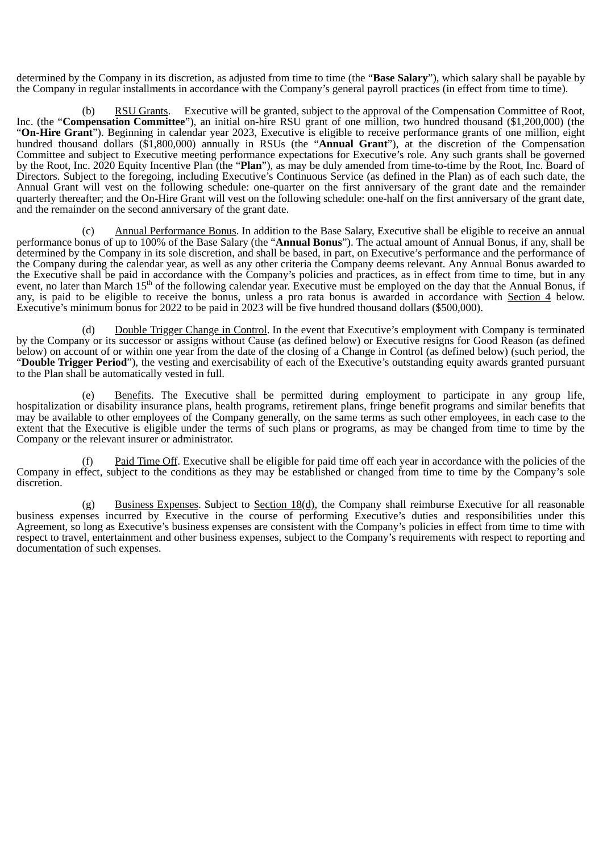determined by the Company in its discretion, as adjusted from time to time (the "**Base Salary**"), which salary shall be payable by the Company in regular installments in accordance with the Company's general payroll practices (in effect from time to time).

RSU Grants. Executive will be granted, subject to the approval of the Compensation Committee of Root, Inc. (the "**Compensation Committee**"), an initial on-hire RSU grant of one million, two hundred thousand (\$1,200,000) (the "**On-Hire Grant**"). Beginning in calendar year 2023, Executive is eligible to receive performance grants of one million, eight hundred thousand dollars (\$1,800,000) annually in RSUs (the "**Annual Grant**"), at the discretion of the Compensation Committee and subject to Executive meeting performance expectations for Executive's role. Any such grants shall be governed by the Root, Inc. 2020 Equity Incentive Plan (the "**Plan**"), as may be duly amended from time-to-time by the Root, Inc. Board of Directors. Subject to the foregoing, including Executive's Continuous Service (as defined in the Plan) as of each such date, the Annual Grant will vest on the following schedule: one-quarter on the first anniversary of the grant date and the remainder quarterly thereafter; and the On-Hire Grant will vest on the following schedule: one-half on the first anniversary of the grant date, and the remainder on the second anniversary of the grant date.

(c) Annual Performance Bonus. In addition to the Base Salary, Executive shall be eligible to receive an annual performance bonus of up to 100% of the Base Salary (the "**Annual Bonus**"). The actual amount of Annual Bonus, if any, shall be determined by the Company in its sole discretion, and shall be based, in part, on Executive's performance and the performance of the Company during the calendar year, as well as any other criteria the Company deems relevant. Any Annual Bonus awarded to the Executive shall be paid in accordance with the Company's policies and practices, as in effect from time to time, but in any event, no later than March 15<sup>th</sup> of the following calendar year. Executive must be employed on the day that the Annual Bonus, if any, is paid to be eligible to receive the bonus, unless a pro rata bonus is awarded in accordance with Section 4 below. Executive's minimum bonus for 2022 to be paid in 2023 will be five hundred thousand dollars (\$500,000).

(d) Double Trigger Change in Control. In the event that Executive's employment with Company is terminated by the Company or its successor or assigns without Cause (as defined below) or Executive resigns for Good Reason (as defined below) on account of or within one year from the date of the closing of a Change in Control (as defined below) (such period, the "**Double Trigger Period**"), the vesting and exercisability of each of the Executive's outstanding equity awards granted pursuant to the Plan shall be automatically vested in full.

(e) Benefits. The Executive shall be permitted during employment to participate in any group life, hospitalization or disability insurance plans, health programs, retirement plans, fringe benefit programs and similar benefits that may be available to other employees of the Company generally, on the same terms as such other employees, in each case to the extent that the Executive is eligible under the terms of such plans or programs, as may be changed from time to time by the Company or the relevant insurer or administrator.

(f) Paid Time Off. Executive shall be eligible for paid time off each year in accordance with the policies of the Company in effect, subject to the conditions as they may be established or changed from time to time by the Company's sole discretion.

(g) Business Expenses. Subject to Section  $18(d)$ , the Company shall reimburse Executive for all reasonable business expenses incurred by Executive in the course of performing Executive's duties and responsibilities under this Agreement, so long as Executive's business expenses are consistent with the Company's policies in effect from time to time with respect to travel, entertainment and other business expenses, subject to the Company's requirements with respect to reporting and documentation of such expenses.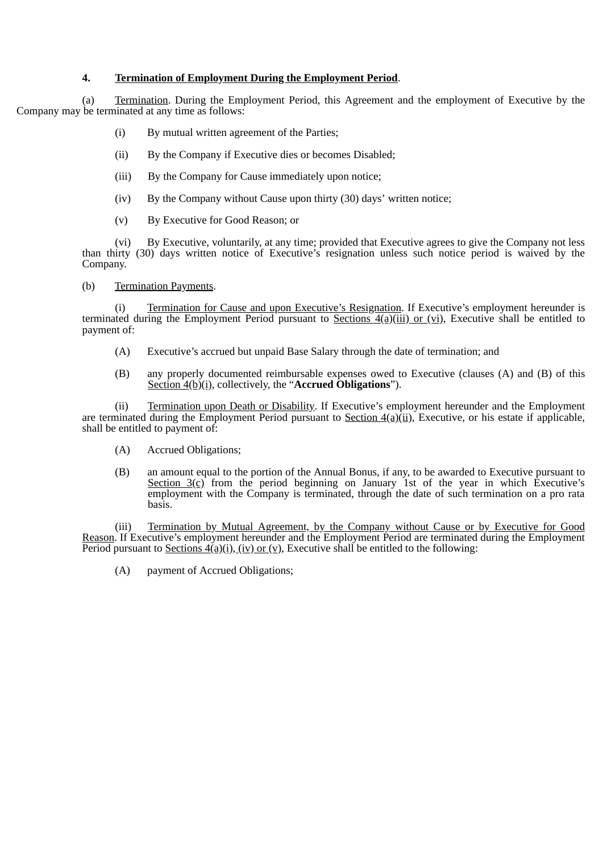# **4. Termination of Employment During the Employment Period**.

(a) Termination. During the Employment Period, this Agreement and the employment of Executive by the Company may be terminated at any time as follows:

- (i) By mutual written agreement of the Parties;
- (ii) By the Company if Executive dies or becomes Disabled;
- (iii) By the Company for Cause immediately upon notice;
- (iv) By the Company without Cause upon thirty (30) days' written notice;
- (v) By Executive for Good Reason; or

(vi) By Executive, voluntarily, at any time; provided that Executive agrees to give the Company not less than thirty (30) days written notice of Executive's resignation unless such notice period is waived by the Company.

(b) Termination Payments.

(i) Termination for Cause and upon Executive's Resignation. If Executive's employment hereunder is terminated during the Employment Period pursuant to Sections  $\frac{4(a)(iii)}{c}$  or (vi), Executive shall be entitled to payment of:

- (A) Executive's accrued but unpaid Base Salary through the date of termination; and
- (B) any properly documented reimbursable expenses owed to Executive (clauses (A) and (B) of this Section 4(b)(i), collectively, the "**Accrued Obligations**").

(ii) Termination upon Death or Disability. If Executive's employment hereunder and the Employment are terminated during the Employment Period pursuant to Section  $4(a)(ii)$ , Executive, or his estate if applicable, shall be entitled to payment of:

- (A) Accrued Obligations;
- (B) an amount equal to the portion of the Annual Bonus, if any, to be awarded to Executive pursuant to Section  $3(c)$  from the period beginning on January 1st of the year in which Executive's employment with the Company is terminated, through the date of such termination on a pro rata basis.

(iii) Termination by Mutual Agreement, by the Company without Cause or by Executive for Good Reason. If Executive's employment hereunder and the Employment Period are terminated during the Employment Period pursuant to Sections  $4(a)(i)$ , (iv) or (v), Executive shall be entitled to the following:

(A) payment of Accrued Obligations;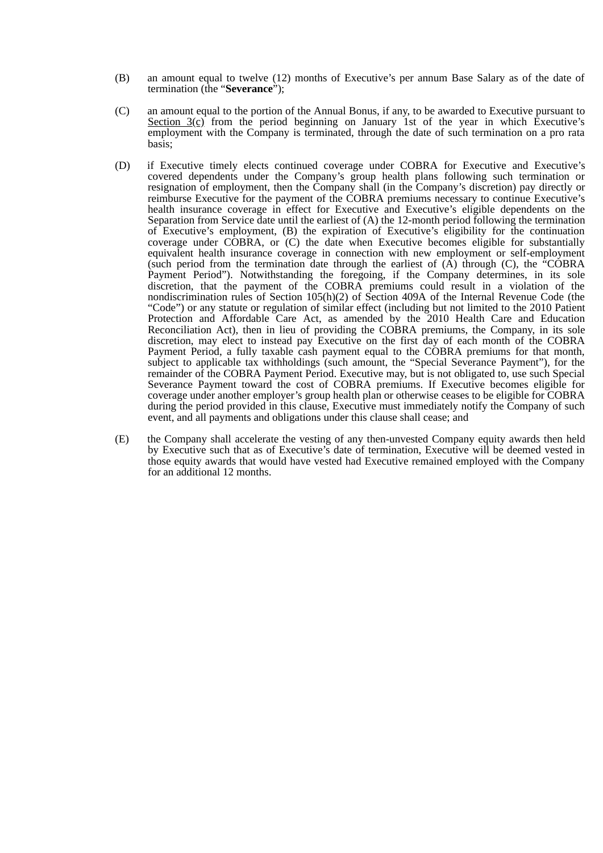- (B) an amount equal to twelve (12) months of Executive's per annum Base Salary as of the date of termination (the "**Severance**");
- (C) an amount equal to the portion of the Annual Bonus, if any, to be awarded to Executive pursuant to Section  $3(c)$  from the period beginning on January 1st of the year in which Executive's employment with the Company is terminated, through the date of such termination on a pro rata basis;
- (D) if Executive timely elects continued coverage under COBRA for Executive and Executive's covered dependents under the Company's group health plans following such termination or resignation of employment, then the Company shall (in the Company's discretion) pay directly or reimburse Executive for the payment of the COBRA premiums necessary to continue Executive's health insurance coverage in effect for Executive and Executive's eligible dependents on the Separation from Service date until the earliest of (A) the 12-month period following the termination of Executive's employment, (B) the expiration of Executive's eligibility for the continuation coverage under COBRA, or (C) the date when Executive becomes eligible for substantially equivalent health insurance coverage in connection with new employment or self-employment (such period from the termination date through the earliest of  $(A)$  through  $(C)$ , the "COBRA Payment Period"). Notwithstanding the foregoing, if the Company determines, in its sole discretion, that the payment of the COBRA premiums could result in a violation of the nondiscrimination rules of Section 105(h)(2) of Section 409A of the Internal Revenue Code (the "Code") or any statute or regulation of similar effect (including but not limited to the 2010 Patient Protection and Affordable Care Act, as amended by the 2010 Health Care and Education Reconciliation Act), then in lieu of providing the COBRA premiums, the Company, in its sole discretion, may elect to instead pay Executive on the first day of each month of the COBRA Payment Period, a fully taxable cash payment equal to the COBRA premiums for that month, subject to applicable tax withholdings (such amount, the "Special Severance Payment"), for the remainder of the COBRA Payment Period. Executive may, but is not obligated to, use such Special Severance Payment toward the cost of COBRA premiums. If Executive becomes eligible for coverage under another employer's group health plan or otherwise ceases to be eligible for COBRA during the period provided in this clause, Executive must immediately notify the Company of such event, and all payments and obligations under this clause shall cease; and
- (E) the Company shall accelerate the vesting of any then-unvested Company equity awards then held by Executive such that as of Executive's date of termination, Executive will be deemed vested in those equity awards that would have vested had Executive remained employed with the Company for an additional 12 months.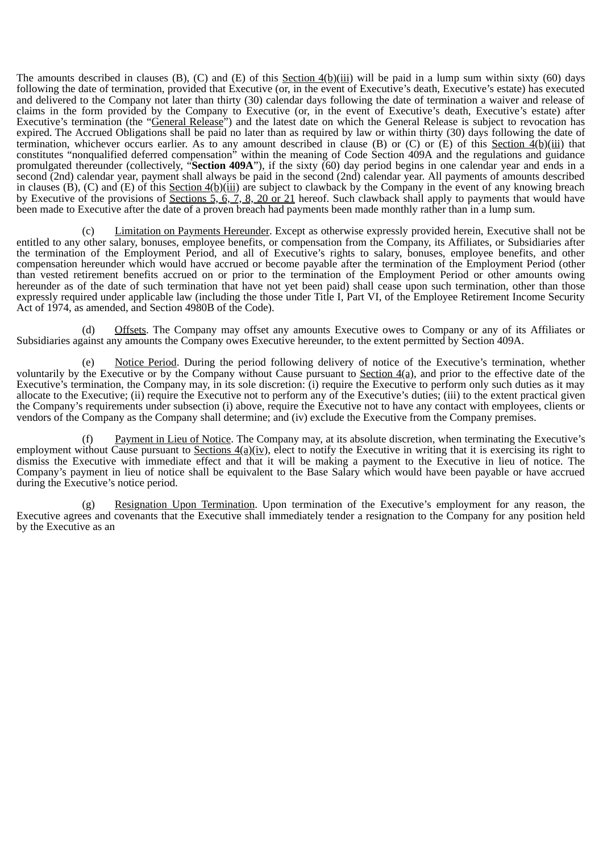The amounts described in clauses (B), (C) and (E) of this Section  $4(b)(iii)$  will be paid in a lump sum within sixty (60) days following the date of termination, provided that Executive (or, in the event of Executive's death, Executive's estate) has executed and delivered to the Company not later than thirty (30) calendar days following the date of termination a waiver and release of claims in the form provided by the Company to Executive (or, in the event of Executive's death, Executive's estate) after Executive's termination (the "General Release") and the latest date on which the General Release is subject to revocation has expired. The Accrued Obligations shall be paid no later than as required by law or within thirty (30) days following the date of termination, whichever occurs earlier. As to any amount described in clause (B) or (C) or  $(E)$  of this Section  $4(b)(iii)$  that constitutes "nonqualified deferred compensation" within the meaning of Code Section 409A and the regulations and guidance promulgated thereunder (collectively, "**Section 409A**"), if the sixty (60) day period begins in one calendar year and ends in a second (2nd) calendar year, payment shall always be paid in the second (2nd) calendar year. All payments of amounts described in clauses (B), (C) and (E) of this Section 4(b)(iii) are subject to clawback by the Company in the event of any knowing breach by Executive of the provisions of Sections 5, 6, 7, 8, 20 or 21 hereof. Such clawback shall apply to payments that would have been made to Executive after the date of a proven breach had payments been made monthly rather than in a lump sum.

(c) Limitation on Payments Hereunder. Except as otherwise expressly provided herein, Executive shall not be entitled to any other salary, bonuses, employee benefits, or compensation from the Company, its Affiliates, or Subsidiaries after the termination of the Employment Period, and all of Executive's rights to salary, bonuses, employee benefits, and other compensation hereunder which would have accrued or become payable after the termination of the Employment Period (other than vested retirement benefits accrued on or prior to the termination of the Employment Period or other amounts owing hereunder as of the date of such termination that have not yet been paid) shall cease upon such termination, other than those expressly required under applicable law (including the those under Title I, Part VI, of the Employee Retirement Income Security Act of 1974, as amended, and Section 4980B of the Code).

(d) Offsets. The Company may offset any amounts Executive owes to Company or any of its Affiliates or Subsidiaries against any amounts the Company owes Executive hereunder, to the extent permitted by Section 409A.

(e) Notice Period. During the period following delivery of notice of the Executive's termination, whether voluntarily by the Executive or by the Company without Cause pursuant to Section 4(a), and prior to the effective date of the Executive's termination, the Company may, in its sole discretion: (i) require the Executive to perform only such duties as it may allocate to the Executive; (ii) require the Executive not to perform any of the Executive's duties; (iii) to the extent practical given the Company's requirements under subsection (i) above, require the Executive not to have any contact with employees, clients or vendors of the Company as the Company shall determine; and (iv) exclude the Executive from the Company premises.

(f) Payment in Lieu of Notice. The Company may, at its absolute discretion, when terminating the Executive's employment without Cause pursuant to Sections  $4(a)(iv)$ , elect to notify the Executive in writing that it is exercising its right to dismiss the Executive with immediate effect and that it will be making a payment to the Executive in lieu of notice. The Company's payment in lieu of notice shall be equivalent to the Base Salary which would have been payable or have accrued during the Executive's notice period.

(g) Resignation Upon Termination. Upon termination of the Executive's employment for any reason, the Executive agrees and covenants that the Executive shall immediately tender a resignation to the Company for any position held by the Executive as an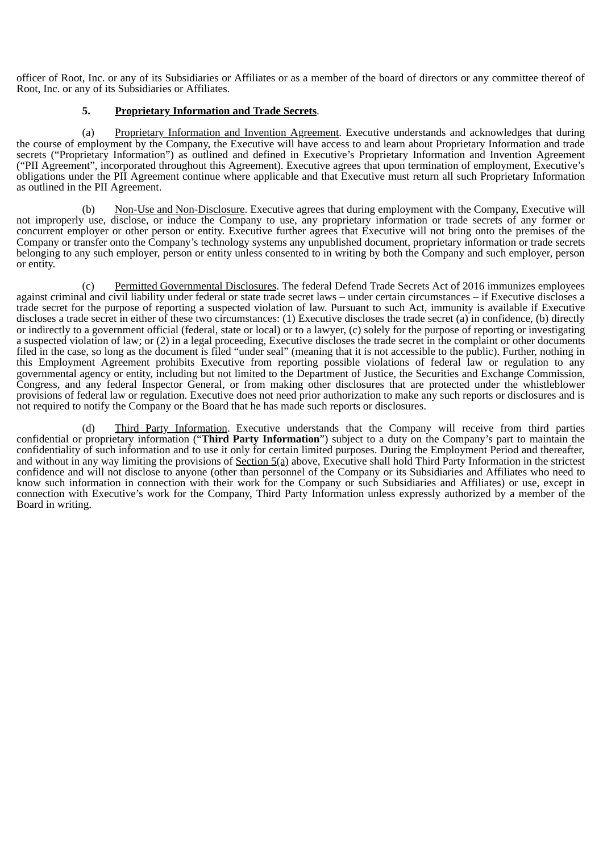officer of Root, Inc. or any of its Subsidiaries or Affiliates or as a member of the board of directors or any committee thereof of Root, Inc. or any of its Subsidiaries or Affiliates.

# **5. Proprietary Information and Trade Secrets**.

(a) Proprietary Information and Invention Agreement. Executive understands and acknowledges that during the course of employment by the Company, the Executive will have access to and learn about Proprietary Information and trade secrets ("Proprietary Information") as outlined and defined in Executive's Proprietary Information and Invention Agreement ("PII Agreement", incorporated throughout this Agreement). Executive agrees that upon termination of employment, Executive's obligations under the PII Agreement continue where applicable and that Executive must return all such Proprietary Information as outlined in the PII Agreement.

(b) Non-Use and Non-Disclosure. Executive agrees that during employment with the Company, Executive will not improperly use, disclose, or induce the Company to use, any proprietary information or trade secrets of any former or concurrent employer or other person or entity. Executive further agrees that Executive will not bring onto the premises of the Company or transfer onto the Company's technology systems any unpublished document, proprietary information or trade secrets belonging to any such employer, person or entity unless consented to in writing by both the Company and such employer, person or entity.

(c) Permitted Governmental Disclosures. The federal Defend Trade Secrets Act of 2016 immunizes employees against criminal and civil liability under federal or state trade secret laws – under certain circumstances – if Executive discloses a trade secret for the purpose of reporting a suspected violation of law. Pursuant to such Act, immunity is available if Executive discloses a trade secret in either of these two circumstances: (1) Executive discloses the trade secret (a) in confidence, (b) directly or indirectly to a government official (federal, state or local) or to a lawyer, (c) solely for the purpose of reporting or investigating a suspected violation of law; or (2) in a legal proceeding, Executive discloses the trade secret in the complaint or other documents filed in the case, so long as the document is filed "under seal" (meaning that it is not accessible to the public). Further, nothing in this Employment Agreement prohibits Executive from reporting possible violations of federal law or regulation to any governmental agency or entity, including but not limited to the Department of Justice, the Securities and Exchange Commission, Congress, and any federal Inspector General, or from making other disclosures that are protected under the whistleblower provisions of federal law or regulation. Executive does not need prior authorization to make any such reports or disclosures and is not required to notify the Company or the Board that he has made such reports or disclosures.

(d) Third Party Information. Executive understands that the Company will receive from third parties confidential or proprietary information ("**Third Party Information**") subject to a duty on the Company's part to maintain the confidentiality of such information and to use it only for certain limited purposes. During the Employment Period and thereafter, and without in any way limiting the provisions of Section 5(a) above, Executive shall hold Third Party Information in the strictest confidence and will not disclose to anyone (other than personnel of the Company or its Subsidiaries and Affiliates who need to know such information in connection with their work for the Company or such Subsidiaries and Affiliates) or use, except in connection with Executive's work for the Company, Third Party Information unless expressly authorized by a member of the Board in writing.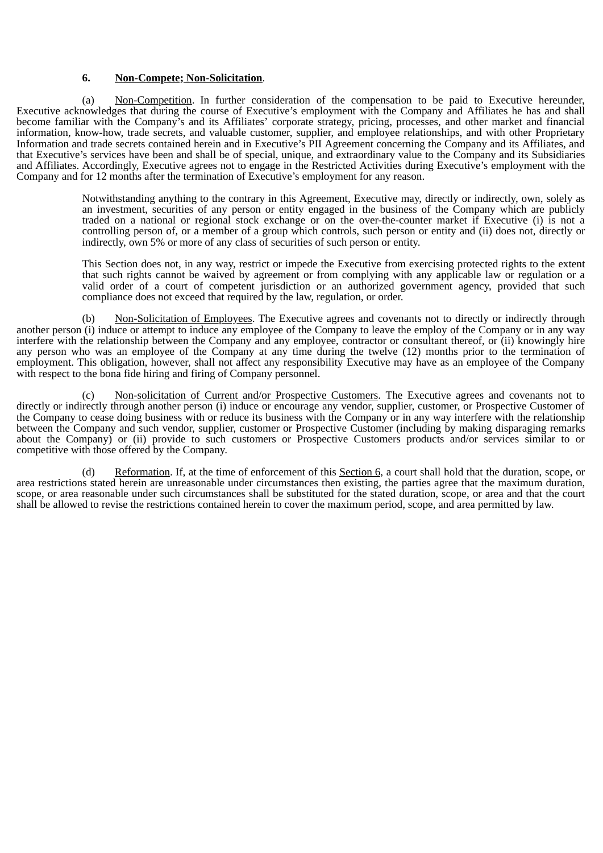### **6. Non-Compete; Non-Solicitation**.

(a) Non-Competition. In further consideration of the compensation to be paid to Executive hereunder, Executive acknowledges that during the course of Executive's employment with the Company and Affiliates he has and shall become familiar with the Company's and its Affiliates' corporate strategy, pricing, processes, and other market and financial information, know-how, trade secrets, and valuable customer, supplier, and employee relationships, and with other Proprietary Information and trade secrets contained herein and in Executive's PII Agreement concerning the Company and its Affiliates, and that Executive's services have been and shall be of special, unique, and extraordinary value to the Company and its Subsidiaries and Affiliates. Accordingly, Executive agrees not to engage in the Restricted Activities during Executive's employment with the Company and for 12 months after the termination of Executive's employment for any reason.

> Notwithstanding anything to the contrary in this Agreement, Executive may, directly or indirectly, own, solely as an investment, securities of any person or entity engaged in the business of the Company which are publicly traded on a national or regional stock exchange or on the over-the-counter market if Executive (i) is not a controlling person of, or a member of a group which controls, such person or entity and (ii) does not, directly or indirectly, own 5% or more of any class of securities of such person or entity.

> This Section does not, in any way, restrict or impede the Executive from exercising protected rights to the extent that such rights cannot be waived by agreement or from complying with any applicable law or regulation or a valid order of a court of competent jurisdiction or an authorized government agency, provided that such compliance does not exceed that required by the law, regulation, or order.

(b) Non-Solicitation of Employees. The Executive agrees and covenants not to directly or indirectly through another person (i) induce or attempt to induce any employee of the Company to leave the employ of the Company or in any way interfere with the relationship between the Company and any employee, contractor or consultant thereof, or (ii) knowingly hire any person who was an employee of the Company at any time during the twelve (12) months prior to the termination of employment. This obligation, however, shall not affect any responsibility Executive may have as an employee of the Company with respect to the bona fide hiring and firing of Company personnel.

(c) Non-solicitation of Current and/or Prospective Customers. The Executive agrees and covenants not to directly or indirectly through another person (i) induce or encourage any vendor, supplier, customer, or Prospective Customer of the Company to cease doing business with or reduce its business with the Company or in any way interfere with the relationship between the Company and such vendor, supplier, customer or Prospective Customer (including by making disparaging remarks about the Company) or (ii) provide to such customers or Prospective Customers products and/or services similar to or competitive with those offered by the Company.

(d) Reformation. If, at the time of enforcement of this Section 6, a court shall hold that the duration, scope, or area restrictions stated herein are unreasonable under circumstances then existing, the parties agree that the maximum duration, scope, or area reasonable under such circumstances shall be substituted for the stated duration, scope, or area and that the court shall be allowed to revise the restrictions contained herein to cover the maximum period, scope, and area permitted by law.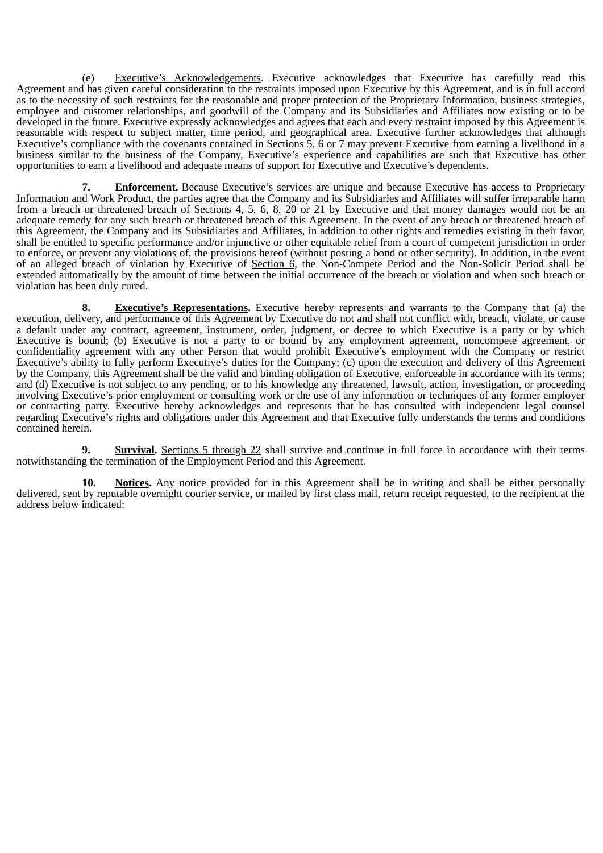(e) Executive's Acknowledgements. Executive acknowledges that Executive has carefully read this Agreement and has given careful consideration to the restraints imposed upon Executive by this Agreement, and is in full accord as to the necessity of such restraints for the reasonable and proper protection of the Proprietary Information, business strategies, employee and customer relationships, and goodwill of the Company and its Subsidiaries and Affiliates now existing or to be developed in the future. Executive expressly acknowledges and agrees that each and every restraint imposed by this Agreement is reasonable with respect to subject matter, time period, and geographical area. Executive further acknowledges that although Executive's compliance with the covenants contained in Sections 5, 6 or 7 may prevent Executive from earning a livelihood in a business similar to the business of the Company, Executive's experience and capabilities are such that Executive has other opportunities to earn a livelihood and adequate means of support for Executive and Executive's dependents.

**7. Enforcement.** Because Executive's services are unique and because Executive has access to Proprietary Information and Work Product, the parties agree that the Company and its Subsidiaries and Affiliates will suffer irreparable harm from a breach or threatened breach of Sections 4, 5, 6, 8, 20 or 21 by Executive and that money damages would not be an adequate remedy for any such breach or threatened breach of this Agreement. In the event of any breach or threatened breach of this Agreement, the Company and its Subsidiaries and Affiliates, in addition to other rights and remedies existing in their favor, shall be entitled to specific performance and/or injunctive or other equitable relief from a court of competent jurisdiction in order to enforce, or prevent any violations of, the provisions hereof (without posting a bond or other security). In addition, in the event of an alleged breach of violation by Executive of Section  $\hat{6}$ , the Non-Compete Period and the Non-Solicit Period shall be extended automatically by the amount of time between the initial occurrence of the breach or violation and when such breach or violation has been duly cured.

**8. Executive's Representations.** Executive hereby represents and warrants to the Company that (a) the execution, delivery, and performance of this Agreement by Executive do not and shall not conflict with, breach, violate, or cause a default under any contract, agreement, instrument, order, judgment, or decree to which Executive is a party or by which Executive is bound; (b) Executive is not a party to or bound by any employment agreement, noncompete agreement, or confidentiality agreement with any other Person that would prohibit Executive's employment with the Company or restrict Executive's ability to fully perform Executive's duties for the Company; (c) upon the execution and delivery of this Agreement by the Company, this Agreement shall be the valid and binding obligation of Executive, enforceable in accordance with its terms; and (d) Executive is not subject to any pending, or to his knowledge any threatened, lawsuit, action, investigation, or proceeding involving Executive's prior employment or consulting work or the use of any information or techniques of any former employer or contracting party. Executive hereby acknowledges and represents that he has consulted with independent legal counsel regarding Executive's rights and obligations under this Agreement and that Executive fully understands the terms and conditions contained herein.

**9. Survival.** Sections 5 through 22 shall survive and continue in full force in accordance with their terms notwithstanding the termination of the Employment Period and this Agreement.

**10. Notices.** Any notice provided for in this Agreement shall be in writing and shall be either personally delivered, sent by reputable overnight courier service, or mailed by first class mail, return receipt requested, to the recipient at the address below indicated: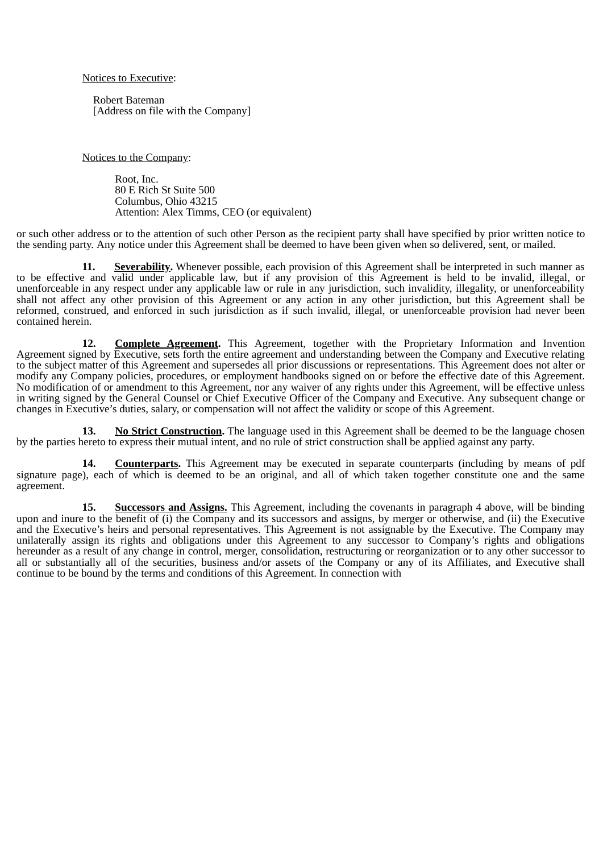Notices to Executive:

 Robert Bateman [Address on file with the Company]

Notices to the Company:

Root, Inc. 80 E Rich St Suite 500 Columbus, Ohio 43215 Attention: Alex Timms, CEO (or equivalent)

or such other address or to the attention of such other Person as the recipient party shall have specified by prior written notice to the sending party. Any notice under this Agreement shall be deemed to have been given when so delivered, sent, or mailed.

**11. Severability.** Whenever possible, each provision of this Agreement shall be interpreted in such manner as to be effective and valid under applicable law, but if any provision of this Agreement is held to be invalid, illegal, or unenforceable in any respect under any applicable law or rule in any jurisdiction, such invalidity, illegality, or unenforceability shall not affect any other provision of this Agreement or any action in any other jurisdiction, but this Agreement shall be reformed, construed, and enforced in such jurisdiction as if such invalid, illegal, or unenforceable provision had never been contained herein.

**12. Complete Agreement.** This Agreement, together with the Proprietary Information and Invention Agreement signed by Executive, sets forth the entire agreement and understanding between the Company and Executive relating to the subject matter of this Agreement and supersedes all prior discussions or representations. This Agreement does not alter or modify any Company policies, procedures, or employment handbooks signed on or before the effective date of this Agreement. No modification of or amendment to this Agreement, nor any waiver of any rights under this Agreement, will be effective unless in writing signed by the General Counsel or Chief Executive Officer of the Company and Executive. Any subsequent change or changes in Executive's duties, salary, or compensation will not affect the validity or scope of this Agreement.

**13. No Strict Construction.** The language used in this Agreement shall be deemed to be the language chosen by the parties hereto to express their mutual intent, and no rule of strict construction shall be applied against any party.

**14. Counterparts.** This Agreement may be executed in separate counterparts (including by means of pdf signature page), each of which is deemed to be an original, and all of which taken together constitute one and the same agreement.

**15. Successors and Assigns.** This Agreement, including the covenants in paragraph 4 above, will be binding upon and inure to the benefit of (i) the Company and its successors and assigns, by merger or otherwise, and (ii) the Executive and the Executive's heirs and personal representatives. This Agreement is not assignable by the Executive. The Company may unilaterally assign its rights and obligations under this Agreement to any successor to Company's rights and obligations hereunder as a result of any change in control, merger, consolidation, restructuring or reorganization or to any other successor to all or substantially all of the securities, business and/or assets of the Company or any of its Affiliates, and Executive shall continue to be bound by the terms and conditions of this Agreement. In connection with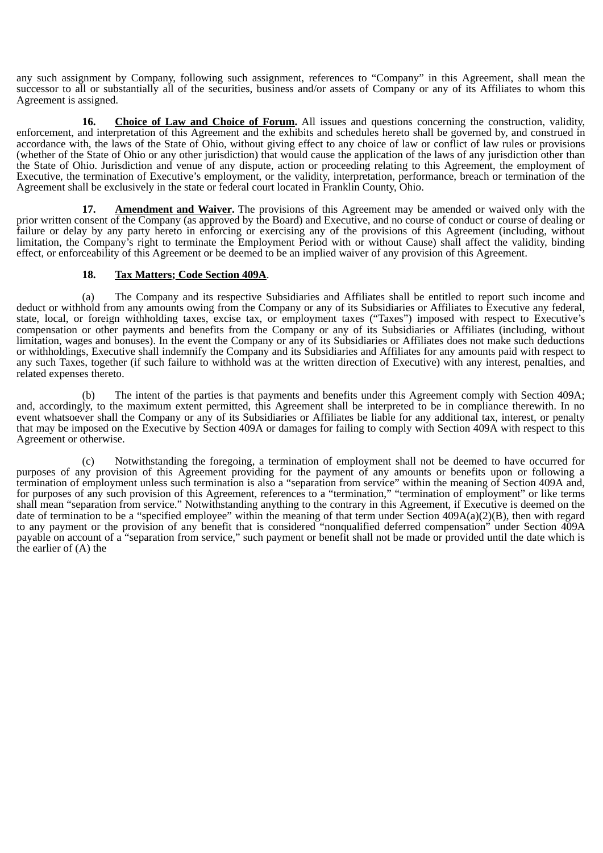any such assignment by Company, following such assignment, references to "Company" in this Agreement, shall mean the successor to all or substantially all of the securities, business and/or assets of Company or any of its Affiliates to whom this Agreement is assigned.

**16. Choice of Law and Choice of Forum.** All issues and questions concerning the construction, validity, enforcement, and interpretation of this Agreement and the exhibits and schedules hereto shall be governed by, and construed in accordance with, the laws of the State of Ohio, without giving effect to any choice of law or conflict of law rules or provisions (whether of the State of Ohio or any other jurisdiction) that would cause the application of the laws of any jurisdiction other than the State of Ohio. Jurisdiction and venue of any dispute, action or proceeding relating to this Agreement, the employment of Executive, the termination of Executive's employment, or the validity, interpretation, performance, breach or termination of the Agreement shall be exclusively in the state or federal court located in Franklin County, Ohio.

**17. Amendment and Waiver.** The provisions of this Agreement may be amended or waived only with the prior written consent of the Company (as approved by the Board) and Executive, and no course of conduct or course of dealing or failure or delay by any party hereto in enforcing or exercising any of the provisions of this Agreement (including, without limitation, the Company's right to terminate the Employment Period with or without Cause) shall affect the validity, binding effect, or enforceability of this Agreement or be deemed to be an implied waiver of any provision of this Agreement.

## **18. Tax Matters; Code Section 409A**.

(a) The Company and its respective Subsidiaries and Affiliates shall be entitled to report such income and deduct or withhold from any amounts owing from the Company or any of its Subsidiaries or Affiliates to Executive any federal, state, local, or foreign withholding taxes, excise tax, or employment taxes ("Taxes") imposed with respect to Executive's compensation or other payments and benefits from the Company or any of its Subsidiaries or Affiliates (including, without limitation, wages and bonuses). In the event the Company or any of its Subsidiaries or Affiliates does not make such deductions or withholdings, Executive shall indemnify the Company and its Subsidiaries and Affiliates for any amounts paid with respect to any such Taxes, together (if such failure to withhold was at the written direction of Executive) with any interest, penalties, and related expenses thereto.

(b) The intent of the parties is that payments and benefits under this Agreement comply with Section 409A; and, accordingly, to the maximum extent permitted, this Agreement shall be interpreted to be in compliance therewith. In no event whatsoever shall the Company or any of its Subsidiaries or Affiliates be liable for any additional tax, interest, or penalty that may be imposed on the Executive by Section 409A or damages for failing to comply with Section 409A with respect to this Agreement or otherwise.

(c) Notwithstanding the foregoing, a termination of employment shall not be deemed to have occurred for purposes of any provision of this Agreement providing for the payment of any amounts or benefits upon or following a termination of employment unless such termination is also a "separation from service" within the meaning of Section 409A and, for purposes of any such provision of this Agreement, references to a "termination," "termination of employment" or like terms shall mean "separation from service." Notwithstanding anything to the contrary in this Agreement, if Executive is deemed on the date of termination to be a "specified employee" within the meaning of that term under Section 409A(a)(2)(B), then with regard to any payment or the provision of any benefit that is considered "nonqualified deferred compensation" under Section 409A payable on account of a "separation from service," such payment or benefit shall not be made or provided until the date which is the earlier of (A) the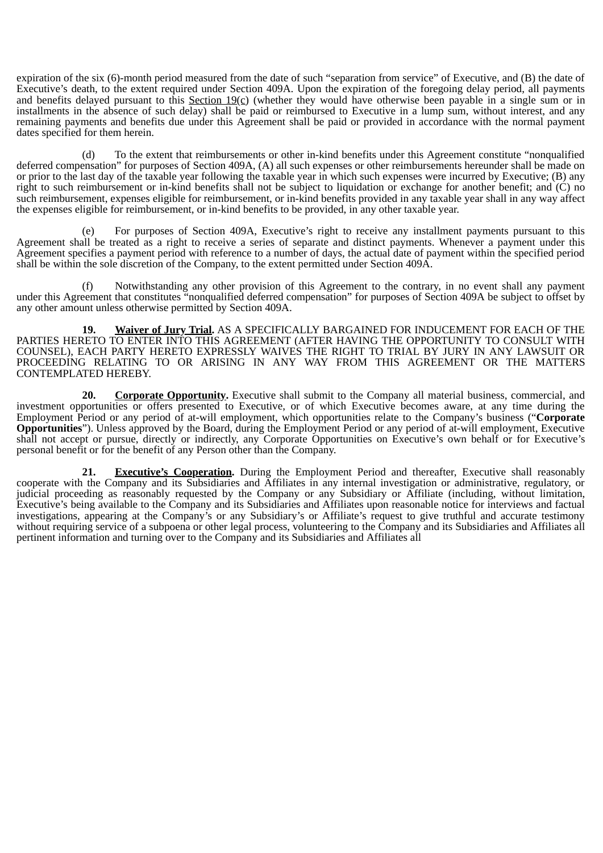expiration of the six (6)-month period measured from the date of such "separation from service" of Executive, and (B) the date of Executive's death, to the extent required under Section 409A. Upon the expiration of the foregoing delay period, all payments and benefits delayed pursuant to this Section 19(c) (whether they would have otherwise been payable in a single sum or in installments in the absence of such delay) shall be paid or reimbursed to Executive in a lump sum, without interest, and any remaining payments and benefits due under this Agreement shall be paid or provided in accordance with the normal payment dates specified for them herein.

(d) To the extent that reimbursements or other in-kind benefits under this Agreement constitute "nonqualified deferred compensation" for purposes of Section 409A, (A) all such expenses or other reimbursements hereunder shall be made on or prior to the last day of the taxable year following the taxable year in which such expenses were incurred by Executive; (B) any right to such reimbursement or in-kind benefits shall not be subject to liquidation or exchange for another benefit; and (C) no such reimbursement, expenses eligible for reimbursement, or in-kind benefits provided in any taxable year shall in any way affect the expenses eligible for reimbursement, or in-kind benefits to be provided, in any other taxable year.

(e) For purposes of Section 409A, Executive's right to receive any installment payments pursuant to this Agreement shall be treated as a right to receive a series of separate and distinct payments. Whenever a payment under this Agreement specifies a payment period with reference to a number of days, the actual date of payment within the specified period shall be within the sole discretion of the Company, to the extent permitted under Section 409A.

(f) Notwithstanding any other provision of this Agreement to the contrary, in no event shall any payment under this Agreement that constitutes "nonqualified deferred compensation" for purposes of Section 409A be subject to offset by any other amount unless otherwise permitted by Section 409A.

**19. Waiver of Jury Trial.** AS A SPECIFICALLY BARGAINED FOR INDUCEMENT FOR EACH OF THE PARTIES HERETO TO ENTER INTO THIS AGREEMENT (AFTER HAVING THE OPPORTUNITY TO CONSULT WITH COUNSEL), EACH PARTY HERETO EXPRESSLY WAIVES THE RIGHT TO TRIAL BY JURY IN ANY LAWSUIT OR PROCEEDING RELATING TO OR ARISING IN ANY WAY FROM THIS AGREEMENT OR THE MATTERS CONTEMPLATED HEREBY.

**20. Corporate Opportunity.** Executive shall submit to the Company all material business, commercial, and investment opportunities or offers presented to Executive, or of which Executive becomes aware, at any time during the Employment Period or any period of at-will employment, which opportunities relate to the Company's business ("**Corporate Opportunities**"). Unless approved by the Board, during the Employment Period or any period of at-will employment, Executive shall not accept or pursue, directly or indirectly, any Corporate Opportunities on Executive's own behalf or for Executive's personal benefit or for the benefit of any Person other than the Company.

**21. Executive's Cooperation.** During the Employment Period and thereafter, Executive shall reasonably cooperate with the Company and its Subsidiaries and Affiliates in any internal investigation or administrative, regulatory, or judicial proceeding as reasonably requested by the Company or any Subsidiary or Affiliate (including, without limitation, Executive's being available to the Company and its Subsidiaries and Affiliates upon reasonable notice for interviews and factual investigations, appearing at the Company's or any Subsidiary's or Affiliate's request to give truthful and accurate testimony without requiring service of a subpoena or other legal process, volunteering to the Company and its Subsidiaries and Affiliates all pertinent information and turning over to the Company and its Subsidiaries and Affiliates all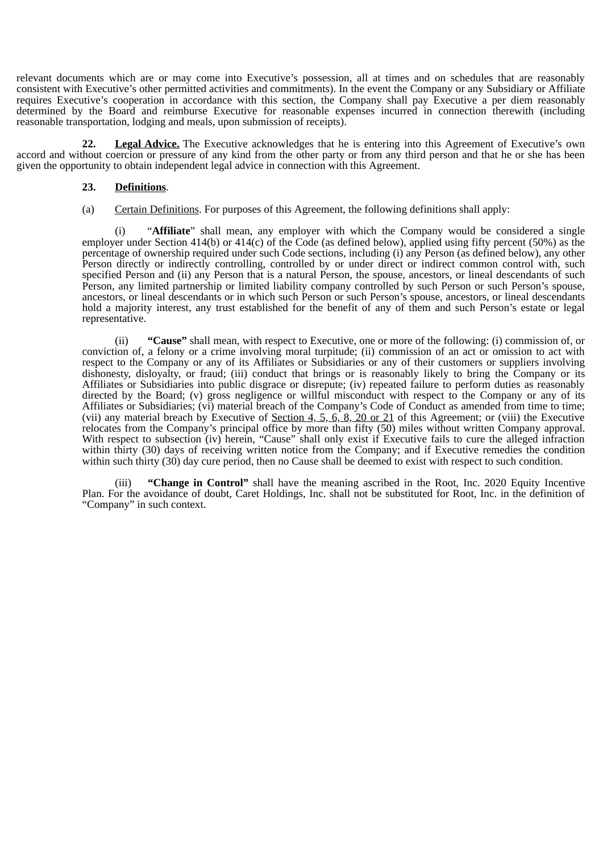relevant documents which are or may come into Executive's possession, all at times and on schedules that are reasonably consistent with Executive's other permitted activities and commitments). In the event the Company or any Subsidiary or Affiliate requires Executive's cooperation in accordance with this section, the Company shall pay Executive a per diem reasonably determined by the Board and reimburse Executive for reasonable expenses incurred in connection therewith (including reasonable transportation, lodging and meals, upon submission of receipts).

**22. Legal Advice.** The Executive acknowledges that he is entering into this Agreement of Executive's own accord and without coercion or pressure of any kind from the other party or from any third person and that he or she has been given the opportunity to obtain independent legal advice in connection with this Agreement.

#### **23. Definitions**.

(a) Certain Definitions. For purposes of this Agreement, the following definitions shall apply:

(i) "**Affiliate**" shall mean, any employer with which the Company would be considered a single employer under Section 414(b) or 414(c) of the Code (as defined below), applied using fifty percent (50%) as the percentage of ownership required under such Code sections, including (i) any Person (as defined below), any other Person directly or indirectly controlling, controlled by or under direct or indirect common control with, such specified Person and (ii) any Person that is a natural Person, the spouse, ancestors, or lineal descendants of such Person, any limited partnership or limited liability company controlled by such Person or such Person's spouse, ancestors, or lineal descendants or in which such Person or such Person's spouse, ancestors, or lineal descendants hold a majority interest, any trust established for the benefit of any of them and such Person's estate or legal representative.

(ii) **"Cause"** shall mean, with respect to Executive, one or more of the following: (i) commission of, or conviction of, a felony or a crime involving moral turpitude; (ii) commission of an act or omission to act with respect to the Company or any of its Affiliates or Subsidiaries or any of their customers or suppliers involving dishonesty, disloyalty, or fraud; (iii) conduct that brings or is reasonably likely to bring the Company or its Affiliates or Subsidiaries into public disgrace or disrepute; (iv) repeated failure to perform duties as reasonably directed by the Board; (v) gross negligence or willful misconduct with respect to the Company or any of its Affiliates or Subsidiaries; (vi) material breach of the Company's Code of Conduct as amended from time to time; (vii) any material breach by Executive of  $Section 4, 5, 6, 8, 20$  or  $21$  of this Agreement; or (viii) the Executive relocates from the Company's principal office by more than fifty (50) miles without written Company approval. With respect to subsection (iv) herein, "Cause" shall only exist if Executive fails to cure the alleged infraction within thirty (30) days of receiving written notice from the Company; and if Executive remedies the condition within such thirty (30) day cure period, then no Cause shall be deemed to exist with respect to such condition.

(iii) **"Change in Control"** shall have the meaning ascribed in the Root, Inc. 2020 Equity Incentive Plan. For the avoidance of doubt, Caret Holdings, Inc. shall not be substituted for Root, Inc. in the definition of "Company" in such context.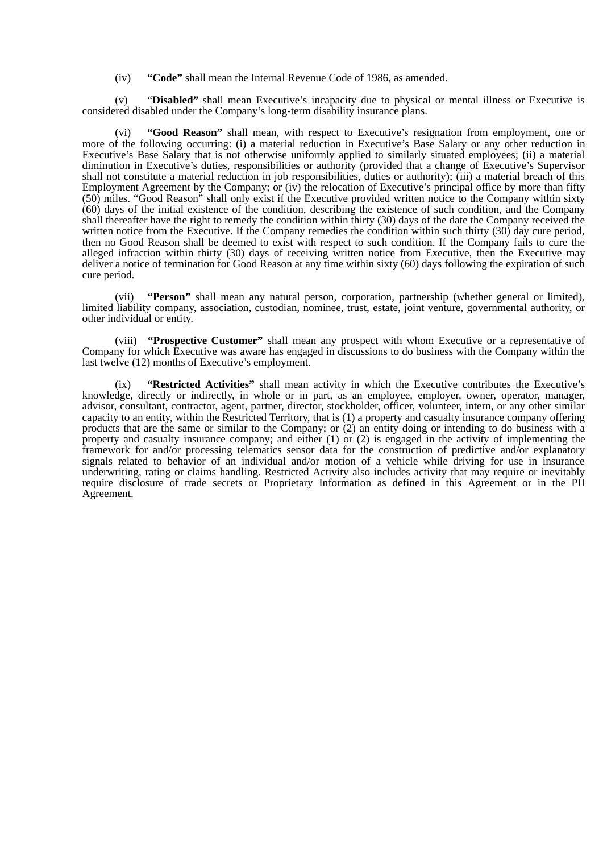(iv) **"Code"** shall mean the Internal Revenue Code of 1986, as amended.

(v) "**Disabled"** shall mean Executive's incapacity due to physical or mental illness or Executive is considered disabled under the Company's long-term disability insurance plans.

"Good Reason" shall mean, with respect to Executive's resignation from employment, one or more of the following occurring: (i) a material reduction in Executive's Base Salary or any other reduction in Executive's Base Salary that is not otherwise uniformly applied to similarly situated employees; (ii) a material diminution in Executive's duties, responsibilities or authority (provided that a change of Executive's Supervisor shall not constitute a material reduction in job responsibilities, duties or authority); (iii) a material breach of this Employment Agreement by the Company; or (iv) the relocation of Executive's principal office by more than fifty (50) miles. "Good Reason" shall only exist if the Executive provided written notice to the Company within sixty (60) days of the initial existence of the condition, describing the existence of such condition, and the Company shall thereafter have the right to remedy the condition within thirty (30) days of the date the Company received the written notice from the Executive. If the Company remedies the condition within such thirty (30) day cure period, then no Good Reason shall be deemed to exist with respect to such condition. If the Company fails to cure the alleged infraction within thirty (30) days of receiving written notice from Executive, then the Executive may deliver a notice of termination for Good Reason at any time within sixty (60) days following the expiration of such cure period.

(vii) **"Person"** shall mean any natural person, corporation, partnership (whether general or limited), limited liability company, association, custodian, nominee, trust, estate, joint venture, governmental authority, or other individual or entity.

(viii) **"Prospective Customer"** shall mean any prospect with whom Executive or a representative of Company for which Executive was aware has engaged in discussions to do business with the Company within the last twelve (12) months of Executive's employment.

(ix) **"Restricted Activities"** shall mean activity in which the Executive contributes the Executive's knowledge, directly or indirectly, in whole or in part, as an employee, employer, owner, operator, manager, advisor, consultant, contractor, agent, partner, director, stockholder, officer, volunteer, intern, or any other similar capacity to an entity, within the Restricted Territory, that is (1) a property and casualty insurance company offering products that are the same or similar to the Company; or (2) an entity doing or intending to do business with a property and casualty insurance company; and either  $(1)$  or  $(2)$  is engaged in the activity of implementing the framework for and/or processing telematics sensor data for the construction of predictive and/or explanatory signals related to behavior of an individual and/or motion of a vehicle while driving for use in insurance underwriting, rating or claims handling. Restricted Activity also includes activity that may require or inevitably require disclosure of trade secrets or Proprietary Information as defined in this Agreement or in the PII Agreement.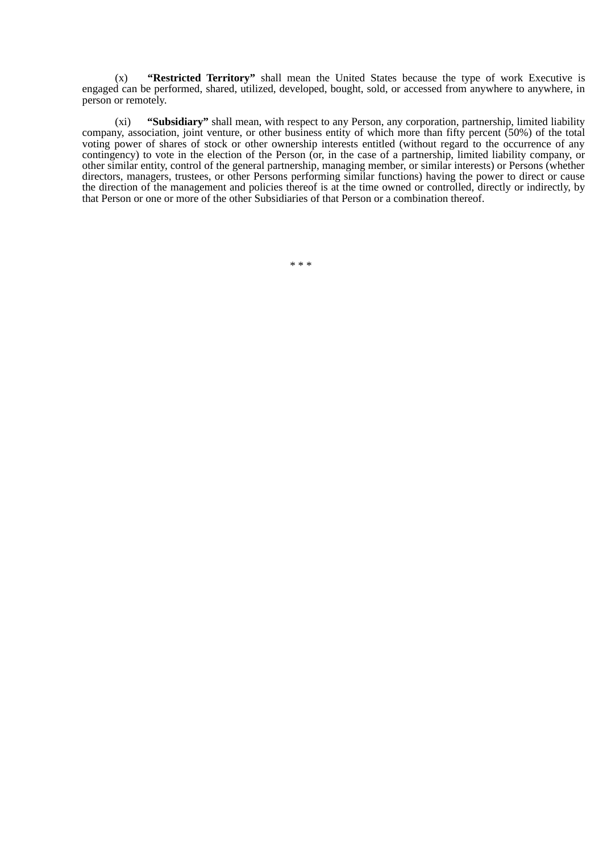(x) **"Restricted Territory"** shall mean the United States because the type of work Executive is engaged can be performed, shared, utilized, developed, bought, sold, or accessed from anywhere to anywhere, in person or remotely.

(xi) **"Subsidiary"** shall mean, with respect to any Person, any corporation, partnership, limited liability company, association, joint venture, or other business entity of which more than fifty percent (50%) of the total voting power of shares of stock or other ownership interests entitled (without regard to the occurrence of any contingency) to vote in the election of the Person (or, in the case of a partnership, limited liability company, or other similar entity, control of the general partnership, managing member, or similar interests) or Persons (whether directors, managers, trustees, or other Persons performing similar functions) having the power to direct or cause the direction of the management and policies thereof is at the time owned or controlled, directly or indirectly, by that Person or one or more of the other Subsidiaries of that Person or a combination thereof.

\* \* \*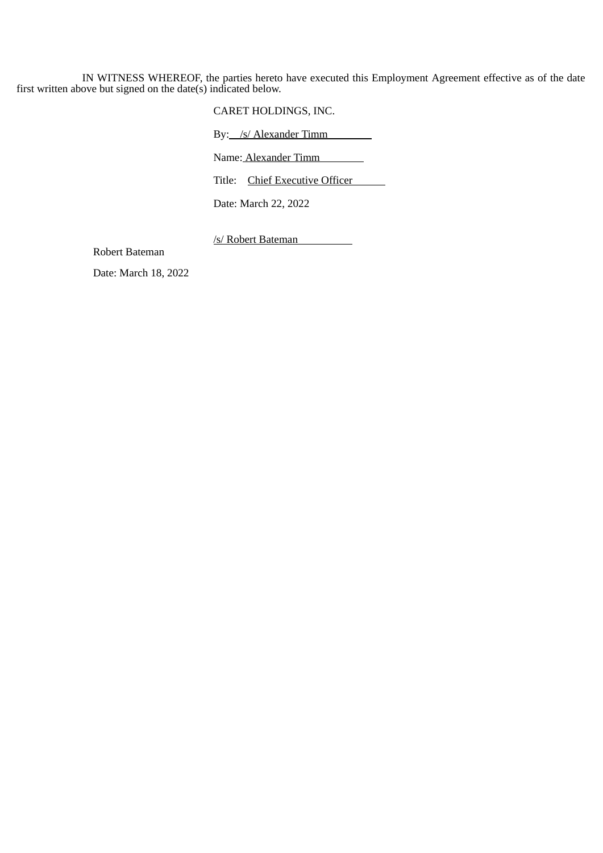IN WITNESS WHEREOF, the parties hereto have executed this Employment Agreement effective as of the date first written above but signed on the date(s) indicated below.

CARET HOLDINGS, INC.

By: /s/ Alexander Timm

Name: Alexander Timm

Title: Chief Executive Officer

Date: March 22, 2022

/s/ Robert Bateman

Robert Bateman

Date: March 18, 2022